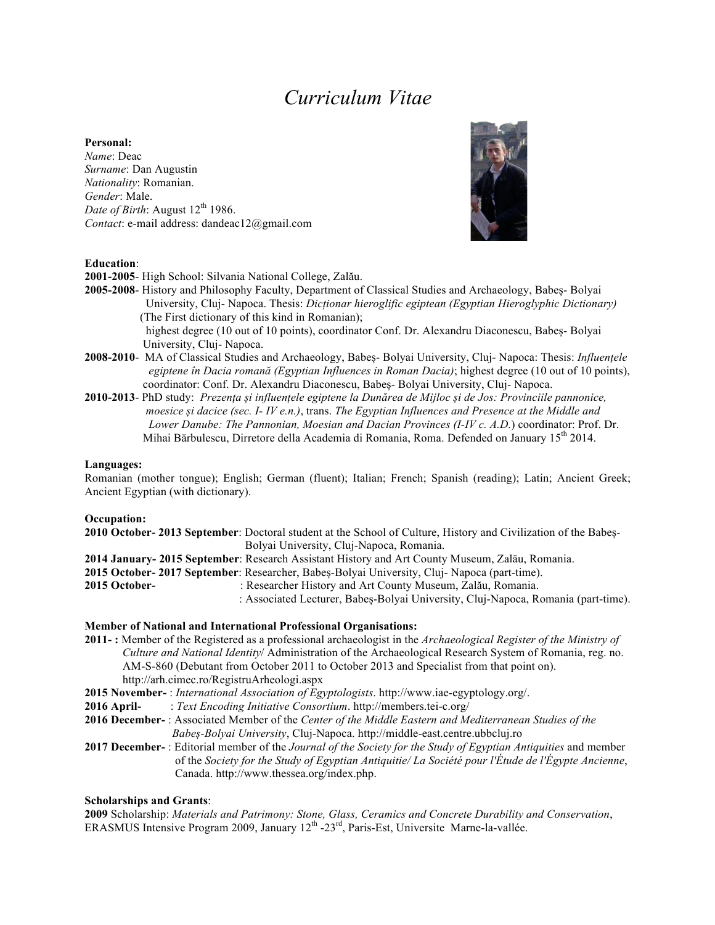# *Curriculum Vitae*

#### **Personal:**

*Name*: Deac *Surname*: Dan Augustin *Nationality*: Romanian. *Gender*: Male. *Date of Birth*: August  $12^{th}$  1986. *Contact*: e-mail address: dandeac12@gmail.com



## **Education**:

**2001-2005**- High School: Silvania National College, Zalău.

- **2005-2008** History and Philosophy Faculty, Department of Classical Studies and Archaeology, Babeș- Bolyai University, Cluj- Napoca. Thesis: *Dicționar hieroglific egiptean (Egyptian Hieroglyphic Dictionary)* (The First dictionary of this kind in Romanian); highest degree (10 out of 10 points), coordinator Conf. Dr. Alexandru Diaconescu, Babeș- Bolyai University, Cluj- Napoca.
- **2008-2010** MA of Classical Studies and Archaeology, Babeș- Bolyai University, Cluj- Napoca: Thesis: *Influențele egiptene în Dacia romană (Egyptian Influences in Roman Dacia)*; highest degree (10 out of 10 points), coordinator: Conf. Dr. Alexandru Diaconescu, Babeș- Bolyai University, Cluj- Napoca.
- **2010-2013** PhD study: *Prezența și influențele egiptene la Dunărea de Mijloc și de Jos: Provinciile pannonice, moesice și dacice (sec. I- IV e.n.)*, trans. *The Egyptian Influences and Presence at the Middle and Lower Danube: The Pannonian, Moesian and Dacian Provinces (I-IV c. A.D.*) coordinator: Prof. Dr. Mihai Bărbulescu, Dirretore della Academia di Romania, Roma. Defended on January 15<sup>th</sup> 2014.

### **Languages:**

Romanian (mother tongue); English; German (fluent); Italian; French; Spanish (reading); Latin; Ancient Greek; Ancient Egyptian (with dictionary).

#### **Occupation:**

| 2010 October-2013 September: Doctoral student at the School of Culture, History and Civilization of the Babes- |
|----------------------------------------------------------------------------------------------------------------|
| Bolyai University, Cluj-Napoca, Romania.                                                                       |
| 2014 January- 2015 September: Research Assistant History and Art County Museum, Zalău, Romania.                |
| 2015 October-2017 September: Researcher, Babes-Bolyai University, Cluj-Napoca (part-time).                     |
| : Researcher History and Art County Museum, Zalău, Romania.                                                    |
| : Associated Lecturer, Babeș-Bolyai University, Cluj-Napoca, Romania (part-time).                              |
|                                                                                                                |

#### **Member of National and International Professional Organisations:**

**2011- :** Member of the Registered as a professional archaeologist in the *Archaeological Register of the Ministry of Culture and National Identity*/ Administration of the Archaeological Research System of Romania, reg. no. AM-S-860 (Debutant from October 2011 to October 2013 and Specialist from that point on). http://arh.cimec.ro/RegistruArheologi.aspx

**2015 November-** : *International Association of Egyptologists*. http://www.iae-egyptology.org/.

**2016 April-** : *Text Encoding Initiative Consortium*. http://members.tei-c.org/

- **2016 December-** : Associated Member of the *Center of the Middle Eastern and Mediterranean Studies of the Babeș-Bolyai University*, Cluj-Napoca. http://middle-east.centre.ubbcluj.ro
- **2017 December-** : Editorial member of the *Journal of the Society for the Study of Egyptian Antiquities* and member of the *Society for the Study of Egyptian Antiquitie/ La Société pour l'Étude de l'Égypte Ancienne*, Canada. http://www.thessea.org/index.php.

## **Scholarships and Grants**:

**2009** Scholarship: *Materials and Patrimony: Stone, Glass, Ceramics and Concrete Durability and Conservation*, ERASMUS Intensive Program 2009, January 12th -23rd, Paris-Est, Universite Marne-la-vallée.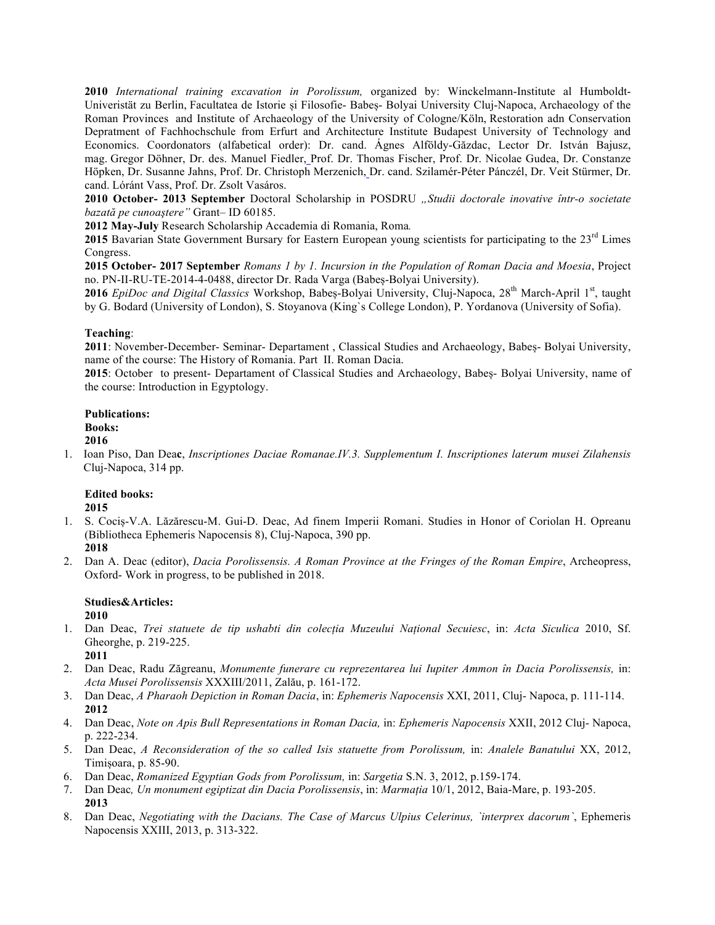**2010** *International training excavation in Porolissum,* organized by: Winckelmann-Institute al Humboldt-Univeristät zu Berlin, Facultatea de Istorie și Filosofie- Babeș- Bolyai University Cluj-Napoca, Archaeology of the Roman Provinces and Institute of Archaeology of the University of Cologne/Köln, Restoration adn Conservation Depratment of Fachhochschule from Erfurt and Architecture Institute Budapest University of Technology and Economics. Coordonators (alfabetical order): Dr. cand. Ágnes Alföldy-Găzdac, Lector Dr. István Bajusz, mag. Gregor Döhner, Dr. des. Manuel Fiedler, Prof. Dr. Thomas Fischer, Prof. Dr. Nicolae Gudea, Dr. Constanze Höpken, Dr. Susanne Jahns, Prof. Dr. Christoph Merzenich, Dr. cand. Szilamér-Péter Pánczél, Dr. Veit Stürmer, Dr. cand. Lóránt Vass, Prof. Dr. Zsolt Vasáros.

**2010 October- 2013 September** Doctoral Scholarship in POSDRU *"Studii doctorale inovative într-o societate bazată pe cunoaştere"* Grant– ID 60185.

**2012 May-July** Research Scholarship Accademia di Romania, Roma*.*

2015 Bavarian State Government Bursary for Eastern European young scientists for participating to the 23<sup>rd</sup> Limes Congress.

**2015 October- 2017 September** *Romans 1 by 1. Incursion in the Population of Roman Dacia and Moesia*, Project no. PN-II-RU-TE-2014-4-0488, director Dr. Rada Varga (Babeș-Bolyai University).

2016 *EpiDoc and Digital Classics* Workshop, Babeș-Bolyai University, Cluj-Napoca, 28<sup>th</sup> March-April 1<sup>st</sup>, taught by G. Bodard (University of London), S. Stoyanova (King`s College London), P. Yordanova (University of Sofia).

## **Teaching**:

**2011**: November-December- Seminar- Departament , Classical Studies and Archaeology, Babeș- Bolyai University, name of the course: The History of Romania. Part II. Roman Dacia.

**2015**: October to present- Departament of Classical Studies and Archaeology, Babeș- Bolyai University, name of the course: Introduction in Egyptology.

# **Publications: Books:**

**2016** 1. Ioan Piso, Dan Dea**c**, *Inscriptiones Daciae Romanae.IV.3. Supplementum I. Inscriptiones laterum musei Zilahensis*  Cluj-Napoca, 314 pp.

### **Edited books: 2015**

- 1. S. Cociș-V.A. Lăzărescu-M. Gui-D. Deac, Ad finem Imperii Romani. Studies in Honor of Coriolan H. Opreanu (Bibliotheca Ephemeris Napocensis 8), Cluj-Napoca, 390 pp.
	- **2018**
- 2. Dan A. Deac (editor), *Dacia Porolissensis. A Roman Province at the Fringes of the Roman Empire*, Archeopress, Oxford- Work in progress, to be published in 2018.

# **Studies&Articles:**

**2010** 1. Dan Deac, *Trei statuete de tip ushabti din colecția Muzeului Național Secuiesc*, in: *Acta Siculica* 2010, Sf. Gheorghe, p. 219-225.

**2011**

- 2. Dan Deac, Radu Zăgreanu, *Monumente funerare cu reprezentarea lui Iupiter Ammon în Dacia Porolissensis,* in: *Acta Musei Porolissensis* XXXIII/2011, Zalău, p. 161-172.
- 3. Dan Deac, *A Pharaoh Depiction in Roman Dacia*, in: *Ephemeris Napocensis* XXI, 2011, Cluj- Napoca, p. 111-114. **2012**
- 4. Dan Deac, *Note on Apis Bull Representations in Roman Dacia,* in: *Ephemeris Napocensis* XXII, 2012 Cluj- Napoca, p. 222-234.
- 5. Dan Deac, *A Reconsideration of the so called Isis statuette from Porolissum,* in: *Analele Banatului* XX, 2012, Timișoara, p. 85-90.
- 6. Dan Deac, *Romanized Egyptian Gods from Porolissum,* in: *Sargetia* S.N. 3, 2012, p.159-174.
- 7. Dan Deac*, Un monument egiptizat din Dacia Porolissensis*, in: *Marmația* 10/1, 2012, Baia-Mare, p. 193-205. **2013**
- 8. Dan Deac, *Negotiating with the Dacians. The Case of Marcus Ulpius Celerinus, `interprex dacorum`*, Ephemeris Napocensis XXIII, 2013, p. 313-322.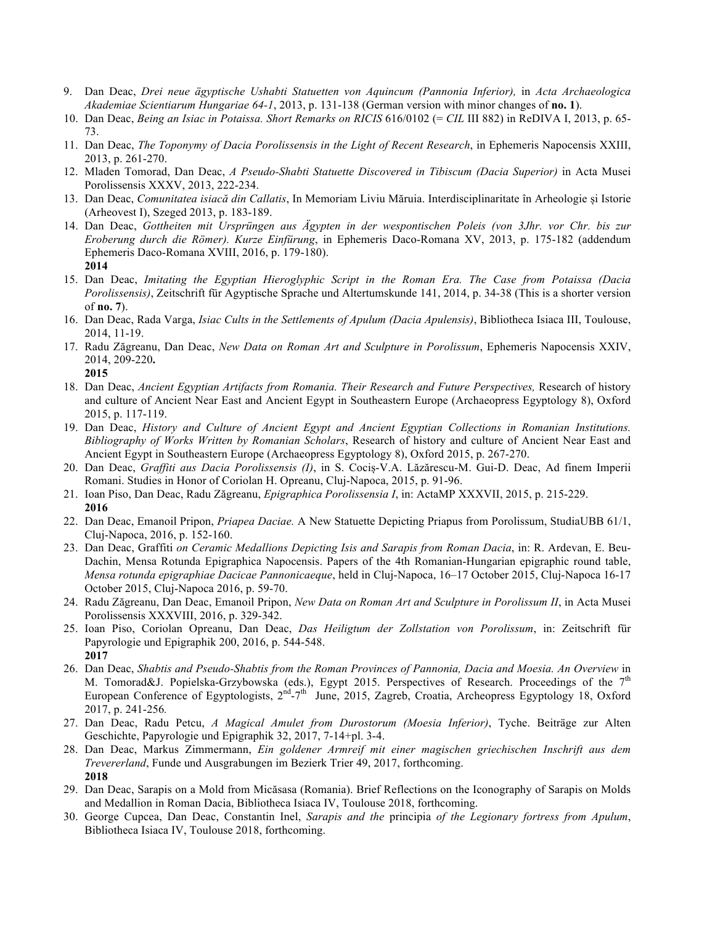- 9. Dan Deac, *Drei neue ägyptische Ushabti Statuetten von Aquincum (Pannonia Inferior),* in *Acta Archaeologica Akademiae Scientiarum Hungariae 64-1*, 2013, p. 131-138 (German version with minor changes of **no. 1**).
- 10. Dan Deac, *Being an Isiac in Potaissa. Short Remarks on RICIS* 616/0102 (= *CIL* III 882) in ReDIVA I, 2013, p. 65- 73.
- 11. Dan Deac, *The Toponymy of Dacia Porolissensis in the Light of Recent Research*, in Ephemeris Napocensis XXIII, 2013, p. 261-270.
- 12. Mladen Tomorad, Dan Deac, *A Pseudo-Shabti Statuette Discovered in Tibiscum (Dacia Superior)* in Acta Musei Porolissensis XXXV, 2013, 222-234.
- 13. Dan Deac, *Comunitatea isiacă din Callatis*, In Memoriam Liviu Măruia. Interdisciplinaritate în Arheologie și Istorie (Arheovest I), Szeged 2013, p. 183-189.
- 14. Dan Deac, *Gottheiten mit Ursprüngen aus Ägypten in der wespontischen Poleis (von 3Jhr. vor Chr. bis zur Eroberung durch die Römer). Kurze Einfürung*, in Ephemeris Daco-Romana XV, 2013, p. 175-182 (addendum Ephemeris Daco-Romana XVIII, 2016, p. 179-180). **2014**
- 15. Dan Deac, *Imitating the Egyptian Hieroglyphic Script in the Roman Era. The Case from Potaissa (Dacia Porolissensis)*, Zeitschrift für Agyptische Sprache und Altertumskunde 141, 2014, p. 34-38 (This is a shorter version of **no. 7**).
- 16. Dan Deac, Rada Varga, *Isiac Cults in the Settlements of Apulum (Dacia Apulensis)*, Bibliotheca Isiaca III, Toulouse, 2014, 11-19.
- 17. Radu Zăgreanu, Dan Deac, *New Data on Roman Art and Sculpture in Porolissum*, Ephemeris Napocensis XXIV, 2014, 209-220**.**

**2015**

- 18. Dan Deac, *Ancient Egyptian Artifacts from Romania. Their Research and Future Perspectives,* Research of history and culture of Ancient Near East and Ancient Egypt in Southeastern Europe (Archaeopress Egyptology 8), Oxford 2015, p. 117-119.
- 19. Dan Deac, *History and Culture of Ancient Egypt and Ancient Egyptian Collections in Romanian Institutions. Bibliography of Works Written by Romanian Scholars*, Research of history and culture of Ancient Near East and Ancient Egypt in Southeastern Europe (Archaeopress Egyptology 8), Oxford 2015, p. 267-270.
- 20. Dan Deac, *Graffiti aus Dacia Porolissensis (I)*, in S. Cociș-V.A. Lăzărescu-M. Gui-D. Deac, Ad finem Imperii Romani. Studies in Honor of Coriolan H. Opreanu, Cluj-Napoca, 2015, p. 91-96.
- 21. Ioan Piso, Dan Deac, Radu Zăgreanu, *Epigraphica Porolissensia I*, in: ActaMP XXXVII, 2015, p. 215-229. **2016**
- 22. Dan Deac, Emanoil Pripon, *Priapea Daciae.* A New Statuette Depicting Priapus from Porolissum, StudiaUBB 61/1, Cluj-Napoca, 2016, p. 152-160.
- 23. Dan Deac, Graffiti *on Ceramic Medallions Depicting Isis and Sarapis from Roman Dacia*, in: R. Ardevan, E. Beu-Dachin, Mensa Rotunda Epigraphica Napocensis. Papers of the 4th Romanian-Hungarian epigraphic round table, *Mensa rotunda epigraphiae Dacicae Pannonicaeque*, held in Cluj-Napoca, 16–17 October 2015, Cluj-Napoca 16-17 October 2015, Cluj-Napoca 2016, p. 59-70.
- 24. Radu Zăgreanu, Dan Deac, Emanoil Pripon, *New Data on Roman Art and Sculpture in Porolissum II*, in Acta Musei Porolissensis XXXVIII, 2016, p. 329-342.
- 25. Ioan Piso, Coriolan Opreanu, Dan Deac, *Das Heiligtum der Zollstation von Porolissum*, in: Zeitschrift für Papyrologie und Epigraphik 200, 2016, p. 544-548. **2017**
- 26. Dan Deac, *Shabtis and Pseudo-Shabtis from the Roman Provinces of Pannonia, Dacia and Moesia. An Overview* in M. Tomorad&J. Popielska-Grzybowska (eds.), Egypt 2015. Perspectives of Research. Proceedings of the 7<sup>th</sup> European Conference of Egyptologists, 2<sup>nd</sup>-7<sup>th</sup> June, 2015, Zagreb, Croatia, Archeopress Egyptology 18, Oxford 2017, p. 241-256*.*
- 27. Dan Deac, Radu Petcu, *A Magical Amulet from Durostorum (Moesia Inferior)*, Tyche. Beiträge zur Alten Geschichte, Papyrologie und Epigraphik 32, 2017, 7-14+pl. 3-4.
- 28. Dan Deac, Markus Zimmermann, *Ein goldener Armreif mit einer magischen griechischen Inschrift aus dem Trevererland*, Funde und Ausgrabungen im Bezierk Trier 49, 2017, forthcoming. **2018**
- 29. Dan Deac, Sarapis on a Mold from Micăsasa (Romania). Brief Reflections on the Iconography of Sarapis on Molds and Medallion in Roman Dacia, Bibliotheca Isiaca IV, Toulouse 2018, forthcoming.
- 30. George Cupcea, Dan Deac, Constantin Inel, *Sarapis and the* principia *of the Legionary fortress from Apulum*, Bibliotheca Isiaca IV, Toulouse 2018, forthcoming.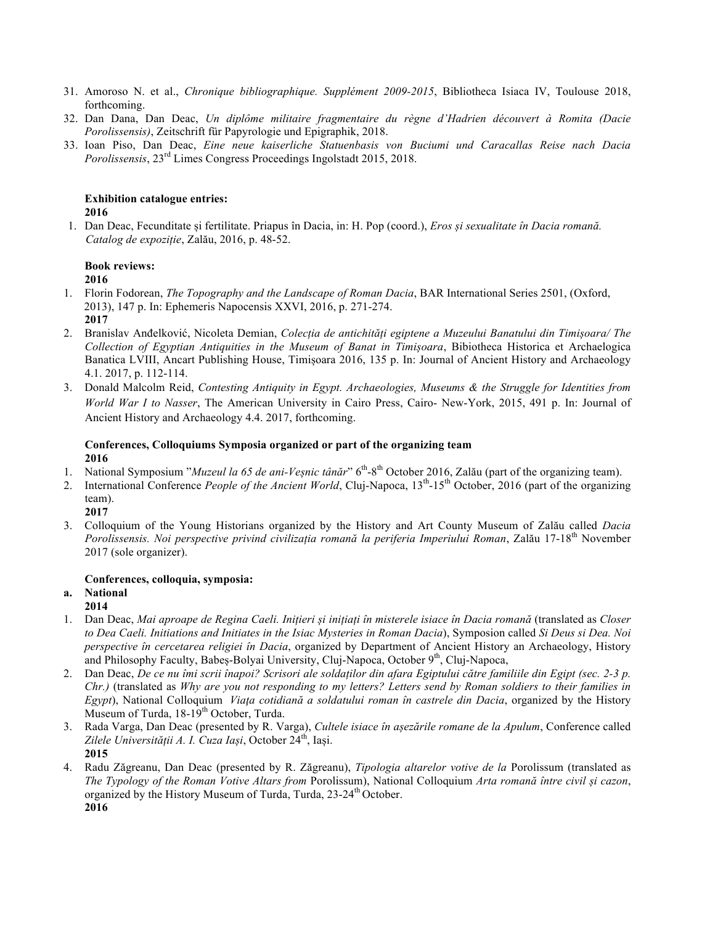- 31. Amoroso N. et al., *Chronique bibliographique. Supplément 2009-2015*, Bibliotheca Isiaca IV, Toulouse 2018, forthcoming.
- 32. Dan Dana, Dan Deac, *Un diplôme militaire fragmentaire du règne d'Hadrien découvert à Romita (Dacie Porolissensis)*, Zeitschrift für Papyrologie und Epigraphik, 2018.
- 33. Ioan Piso, Dan Deac, *Eine neue kaiserliche Statuenbasis von Buciumi und Caracallas Reise nach Dacia Porolissensis*, 23rd Limes Congress Proceedings Ingolstadt 2015, 2018.

### **Exhibition catalogue entries: 2016**

1. Dan Deac, Fecunditate și fertilitate. Priapus în Dacia, in: H. Pop (coord.), *Eros și sexualitate în Dacia romană. Catalog de expoziție*, Zalău, 2016, p. 48-52.

# **Book reviews:**

# **2016**

- 1. Florin Fodorean, *The Topography and the Landscape of Roman Dacia*, BAR International Series 2501, (Oxford, 2013), 147 p. In: Ephemeris Napocensis XXVI, 2016, p. 271-274. **2017**
- 2. Branislav Anđelković, Nicoleta Demian, *Colecția de antichități egiptene a Muzeului Banatului din Timișoara/ The Collection of Egyptian Antiquities in the Museum of Banat in Timișoara*, Bibiotheca Historica et Archaelogica Banatica LVIII, Ancart Publishing House, Timișoara 2016, 135 p. In: Journal of Ancient History and Archaeology 4.1. 2017, p. 112-114.
- 3. Donald Malcolm Reid, *Contesting Antiquity in Egypt. Archaeologies, Museums & the Struggle for Identities from World War I to Nasser*, The American University in Cairo Press, Cairo- New-York, 2015, 491 p. In: Journal of Ancient History and Archaeology 4.4. 2017, forthcoming.

# **Conferences, Colloquiums Symposia organized or part of the organizing team 2016**

- 1. National Symposium "*Muzeul la 65 de ani-Veșnic tânăr*" 6th-8th October 2016, Zalău (part of the organizing team).
- 2. International Conference *People of the Ancient World*, Cluj-Napoca, 13<sup>th</sup>-15<sup>th</sup> October, 2016 (part of the organizing team).

**2017**

3. Colloquium of the Young Historians organized by the History and Art County Museum of Zalău called *Dacia Porolissensis. Noi perspective privind civilizația romană la periferia Imperiului Roman*, Zalău 17-18th November 2017 (sole organizer).

# **Conferences, colloquia, symposia:**

# **a. National**

- **2014**
- 1. Dan Deac, *Mai aproape de Regina Caeli. Inițieri și inițiați în misterele isiace în Dacia romană* (translated as *Closer to Dea Caeli. Initiations and Initiates in the Isiac Mysteries in Roman Dacia*), Symposion called *Si Deus si Dea. Noi perspective în cercetarea religiei în Dacia*, organized by Department of Ancient History an Archaeology, History and Philosophy Faculty, Babeș-Bolyai University, Cluj-Napoca, October 9<sup>th</sup>, Cluj-Napoca,
- 2. Dan Deac, *De ce nu îmi scrii înapoi? Scrisori ale soldaților din afara Egiptului către familiile din Egipt (sec. 2-3 p. Chr.)* (translated as *Why are you not responding to my letters? Letters send by Roman soldiers to their families in Egypt*), National Colloquium *Viaţa cotidiană a soldatului roman în castrele din Dacia*, organized by the History Museum of Turda, 18-19<sup>th</sup> October, Turda.
- 3. Rada Varga, Dan Deac (presented by R. Varga), *Cultele isiace în așezările romane de la Apulum*, Conference called *Zilele Universității A. I. Cuza Iași*, October 24th, Iași. **2015**
- 4. Radu Zăgreanu, Dan Deac (presented by R. Zăgreanu), *Tipologia altarelor votive de la* Porolissum (translated as *The Typology of the Roman Votive Altars from* Porolissum), National Colloquium *Arta romană între civil și cazon*, organized by the History Museum of Turda, Turda, 23-24<sup>th</sup> October. **2016**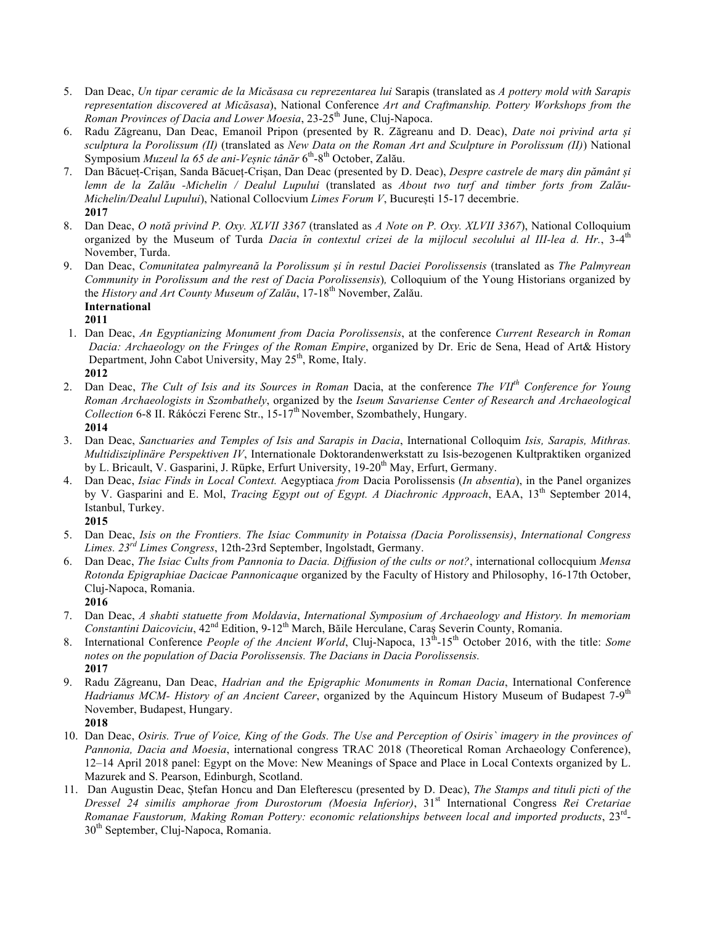- 5. Dan Deac, *Un tipar ceramic de la Micăsasa cu reprezentarea lui* Sarapis (translated as *A pottery mold with Sarapis representation discovered at Micăsasa*), National Conference *Art and Craftmanship. Pottery Workshops from the Roman Provinces of Dacia and Lower Moesia*, 23-25<sup>th</sup> June, Cluj-Napoca.
- 6. Radu Zăgreanu, Dan Deac, Emanoil Pripon (presented by R. Zăgreanu and D. Deac), *Date noi privind arta și sculptura la Porolissum (II)* (translated as *New Data on the Roman Art and Sculpture in Porolissum (II)*) National Symposium *Muzeul la 65 de ani-Veșnic tânăr* 6th-8th October, Zalău.
- 7. Dan Băcueț-Crișan, Sanda Băcueț-Crișan, Dan Deac (presented by D. Deac), *Despre castrele de marș din pământ și lemn de la Zalău -Michelin / Dealul Lupului* (translated as *About two turf and timber forts from Zalău-Michelin/Dealul Lupului*), National Collocvium *Limes Forum V*, București 15-17 decembrie. **2017**
- 8. Dan Deac, *O notă privind P. Oxy. XLVII 3367* (translated as *A Note on P. Oxy. XLVII 3367*), National Colloquium organized by the Museum of Turda *Dacia în contextul crizei de la mijlocul secolului al III-lea d. Hr.*, 3-4<sup>th</sup> November, Turda.
- 9. Dan Deac, *Comunitatea palmyreană la Porolissum și în restul Daciei Porolissensis* (translated as *The Palmyrean Community in Porolissum and the rest of Dacia Porolissensis*)*,* Colloquium of the Young Historians organized by the *History and Art County Museum of Zalău*, 17-18th November, Zalău. **International**

# **2011**

- 1. Dan Deac, *An Egyptianizing Monument from Dacia Porolissensis*, at the conference *Current Research in Roman Dacia: Archaeology on the Fringes of the Roman Empire*, organized by Dr. Eric de Sena, Head of Art& History Department, John Cabot University, May 25<sup>th</sup>, Rome, Italy. **2012**
- 2. Dan Deac, *The Cult of Isis and its Sources in Roman* Dacia, at the conference *The VIIth Conference for Young Roman Archaeologists in Szombathely*, organized by the *Iseum Savariense Center of Research and Archaeological Collection* 6-8 II. Rákóczi Ferenc Str., 15-17th November, Szombathely, Hungary. **2014**
- 3. Dan Deac, *Sanctuaries and Temples of Isis and Sarapis in Dacia*, International Colloquim *Isis, Sarapis, Mithras. Multidisziplinäre Perspektiven IV*, Internationale Doktorandenwerkstatt zu Isis-bezogenen Kultpraktiken organized by L. Bricault, V. Gasparini, J. Rüpke, Erfurt University, 19-20<sup>th</sup> May, Erfurt, Germany.
- 4. Dan Deac, *Isiac Finds in Local Context.* Aegyptiaca *from* Dacia Porolissensis (*In absentia*), in the Panel organizes by V. Gasparini and E. Mol, *Tracing Egypt out of Egypt. A Diachronic Approach*, EAA, 13<sup>th</sup> September 2014, Istanbul, Turkey.

**2015**

- 5. Dan Deac, *Isis on the Frontiers. The Isiac Community in Potaissa (Dacia Porolissensis)*, *International Congress Limes. 23rd Limes Congress*, 12th-23rd September, Ingolstadt, Germany.
- 6. Dan Deac, *The Isiac Cults from Pannonia to Dacia. Diffusion of the cults or not?*, international collocquium *Mensa Rotonda Epigraphiae Dacicae Pannonicaque* organized by the Faculty of History and Philosophy, 16-17th October, Cluj-Napoca, Romania.

**2016**

- 7. Dan Deac, *A shabti statuette from Moldavia*, *International Symposium of Archaeology and History. In memoriam Constantini Daicoviciu*, 42nd Edition, 9-12th March, Băile Herculane, Caraş Severin County, Romania.
- 8. International Conference *People of the Ancient World*, Cluj-Napoca, 13<sup>th</sup>-15<sup>th</sup> October 2016, with the title: *Some notes on the population of Dacia Porolissensis. The Dacians in Dacia Porolissensis.* **2017**
- 9. Radu Zăgreanu, Dan Deac, *Hadrian and the Epigraphic Monuments in Roman Dacia*, International Conference *Hadrianus MCM- History of an Ancient Career*, organized by the Aquincum History Museum of Budapest 7-9<sup>th</sup> November, Budapest, Hungary. **2018**
- 10. Dan Deac, *Osiris. True of Voice, King of the Gods. The Use and Perception of Osiris` imagery in the provinces of Pannonia, Dacia and Moesia*, international congress TRAC 2018 (Theoretical Roman Archaeology Conference), 12–14 April 2018 panel: Egypt on the Move: New Meanings of Space and Place in Local Contexts organized by L. Mazurek and S. Pearson, Edinburgh, Scotland.
- 11. Dan Augustin Deac, Ștefan Honcu and Dan Elefterescu (presented by D. Deac), *The Stamps and tituli picti of the Dressel 24 similis amphorae from Durostorum (Moesia Inferior)*, 31st International Congress *Rei Cretariae Romanae Faustorum, Making Roman Pottery: economic relationships between local and imported products*, 23rd-30<sup>th</sup> September, Cluj-Napoca, Romania.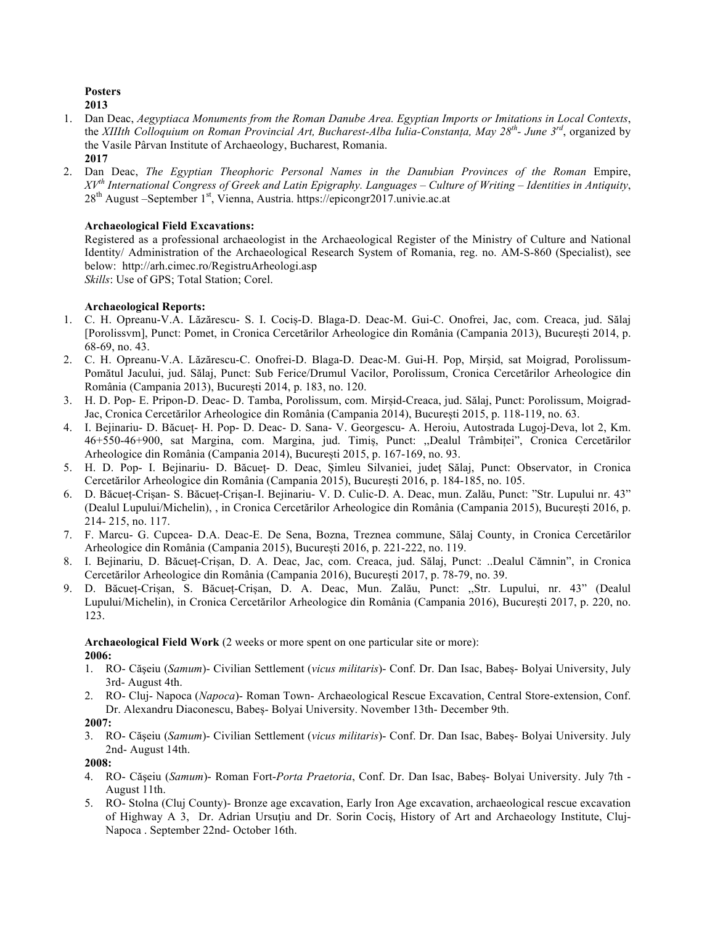**Posters 2013**

- 1. Dan Deac, *Aegyptiaca Monuments from the Roman Danube Area. Egyptian Imports or Imitations in Local Contexts*, the *XIIIth Colloquium on Roman Provincial Art, Bucharest-Alba Iulia-Constanța, May 28th- June 3rd*, organized by the Vasile Pârvan Institute of Archaeology, Bucharest, Romania.
	- **2017**
- 2. Dan Deac, *The Egyptian Theophoric Personal Names in the Danubian Provinces of the Roman* Empire, *XVth International Congress of Greek and Latin Epigraphy. Languages – Culture of Writing – Identities in Antiquity*, 28<sup>th</sup> August –September 1<sup>st</sup>, Vienna, Austria. https://epicongr2017.univie.ac.at

# **Archaeological Field Excavations:**

Registered as a professional archaeologist in the Archaeological Register of the Ministry of Culture and National Identity/ Administration of the Archaeological Research System of Romania, reg. no. AM-S-860 (Specialist), see below: http://arh.cimec.ro/RegistruArheologi.asp

*Skills*: Use of GPS; Total Station; Corel.

# **Archaeological Reports:**

- 1. C. H. Opreanu-V.A. Lăzărescu- S. I. Cociș-D. Blaga-D. Deac-M. Gui-C. Onofrei, Jac, com. Creaca, jud. Sălaj [Porolissvm], Punct: Pomet, in Cronica Cercetărilor Arheologice din România (Campania 2013), București 2014, p. 68-69, no. 43.
- 2. C. H. Opreanu-V.A. Lăzărescu-C. Onofrei-D. Blaga-D. Deac-M. Gui-H. Pop, Mirșid, sat Moigrad, Porolissum-Pomătul Jacului, jud. Sălaj, Punct: Sub Ferice/Drumul Vacilor, Porolissum, Cronica Cercetărilor Arheologice din România (Campania 2013), București 2014, p. 183, no. 120.
- 3. H. D. Pop- E. Pripon-D. Deac- D. Tamba, Porolissum, com. Mirșid-Creaca, jud. Sălaj, Punct: Porolissum, Moigrad-Jac, Cronica Cercetărilor Arheologice din România (Campania 2014), București 2015, p. 118-119, no. 63.
- 4. I. Bejinariu- D. Băcueț- H. Pop- D. Deac- D. Sana- V. Georgescu- A. Heroiu, Autostrada Lugoj-Deva, lot 2, Km. 46+550-46+900, sat Margina, com. Margina, jud. Timiș, Punct: ,,Dealul Trâmbiței", Cronica Cercetărilor Arheologice din România (Campania 2014), București 2015, p. 167-169, no. 93.
- 5. H. D. Pop- I. Bejinariu- D. Băcueț- D. Deac, Șimleu Silvaniei, județ Sălaj, Punct: Observator, in Cronica Cercetărilor Arheologice din România (Campania 2015), București 2016, p. 184-185, no. 105.
- 6. D. Băcueț-Crișan- S. Băcueț-Crișan-I. Bejinariu- V. D. Culic-D. A. Deac, mun. Zalău, Punct: "Str. Lupului nr. 43" (Dealul Lupului/Michelin), , in Cronica Cercetărilor Arheologice din România (Campania 2015), București 2016, p. 214- 215, no. 117.
- 7. F. Marcu- G. Cupcea- D.A. Deac-E. De Sena, Bozna, Treznea commune, Sălaj County, in Cronica Cercetărilor Arheologice din România (Campania 2015), București 2016, p. 221-222, no. 119.
- 8. I. Bejinariu, D. Băcueț-Crișan, D. A. Deac, Jac, com. Creaca, jud. Sălaj, Punct: ..Dealul Cămnin", in Cronica Cercetărilor Arheologice din România (Campania 2016), București 2017, p. 78-79, no. 39.
- 9. D. Băcueț-Crișan, S. Băcueț-Crișan, D. A. Deac, Mun. Zalău, Punct: ,,Str. Lupului, nr. 43" (Dealul Lupului/Michelin), in Cronica Cercetărilor Arheologice din România (Campania 2016), București 2017, p. 220, no. 123.

**Archaeological Field Work** (2 weeks or more spent on one particular site or more): **2006:**

- 1. RO- Căşeiu (*Samum*)- Civilian Settlement (*vicus militaris*)- Conf. Dr. Dan Isac, Babeș- Bolyai University, July 3rd- August 4th.
- 2. RO- Cluj- Napoca (*Napoca*)- Roman Town- Archaeological Rescue Excavation, Central Store-extension, Conf. Dr. Alexandru Diaconescu, Babeș- Bolyai University. November 13th- December 9th.
- **2007:**
- 3. RO- Căşeiu (*Samum*)- Civilian Settlement (*vicus militaris*)- Conf. Dr. Dan Isac, Babeș- Bolyai University. July 2nd- August 14th.

## **2008:**

- 4. RO- Căşeiu (*Samum*)- Roman Fort-*Porta Praetoria*, Conf. Dr. Dan Isac, Babeș- Bolyai University. July 7th August 11th.
- 5. RO- Stolna (Cluj County)- Bronze age excavation, Early Iron Age excavation, archaeological rescue excavation of Highway A 3, Dr. Adrian Ursuţiu and Dr. Sorin Cociș, History of Art and Archaeology Institute, Cluj-Napoca . September 22nd- October 16th.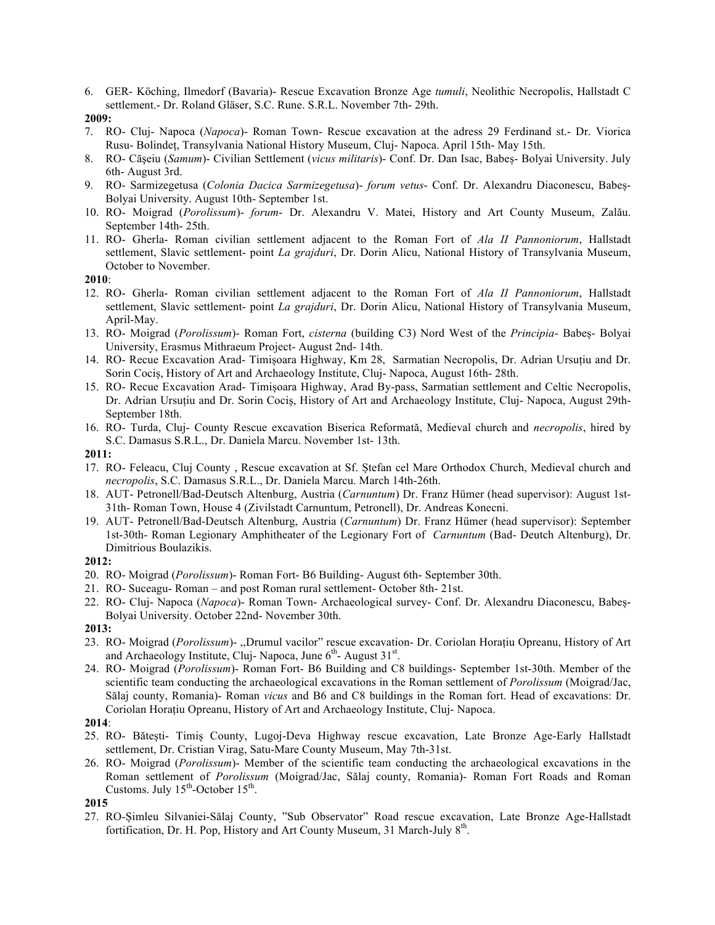6. GER- Köching, Ilmedorf (Bavaria)- Rescue Excavation Bronze Age *tumuli*, Neolithic Necropolis, Hallstadt C settlement.- Dr. Roland Gläser, S.C. Rune. S.R.L. November 7th- 29th.

- 7. RO- Cluj- Napoca (*Napoca*)- Roman Town- Rescue excavation at the adress 29 Ferdinand st.- Dr. Viorica Rusu- Bolindeț, Transylvania National History Museum, Cluj- Napoca. April 15th- May 15th.
- 8. RO- Căşeiu (*Samum*)- Civilian Settlement (*vicus militaris*)- Conf. Dr. Dan Isac, Babeș- Bolyai University. July 6th- August 3rd.
- 9. RO- Sarmizegetusa (*Colonia Dacica Sarmizegetusa*)- *forum vetus* Conf. Dr. Alexandru Diaconescu, Babeș-Bolyai University. August 10th- September 1st.
- 10. RO- Moigrad (*Porolissum*)- *forum* Dr. Alexandru V. Matei, History and Art County Museum, Zalău. September 14th- 25th.
- 11. RO- Gherla- Roman civilian settlement adjacent to the Roman Fort of *Ala II Pannoniorum*, Hallstadt settlement, Slavic settlement- point *La grajduri*, Dr. Dorin Alicu, National History of Transylvania Museum, October to November.

**2010**:

- 12. RO- Gherla- Roman civilian settlement adjacent to the Roman Fort of *Ala II Pannoniorum*, Hallstadt settlement, Slavic settlement- point *La grajduri*, Dr. Dorin Alicu, National History of Transylvania Museum, April-May.
- 13. RO- Moigrad (*Porolissum*)- Roman Fort, *cisterna* (building C3) Nord West of the *Principia* Babeș- Bolyai University, Erasmus Mithraeum Project- August 2nd- 14th.
- 14. RO- Recue Excavation Arad- Timișoara Highway, Km 28, Sarmatian Necropolis, Dr. Adrian Ursuțiu and Dr. Sorin Cociș, History of Art and Archaeology Institute, Cluj- Napoca, August 16th- 28th.
- 15. RO- Recue Excavation Arad- Timișoara Highway, Arad By-pass, Sarmatian settlement and Celtic Necropolis, Dr. Adrian Ursuțiu and Dr. Sorin Cociș, History of Art and Archaeology Institute, Cluj- Napoca, August 29th-September 18th.
- 16. RO- Turda, Cluj- County Rescue excavation Biserica Reformată, Medieval church and *necropolis*, hired by S.C. Damasus S.R.L., Dr. Daniela Marcu. November 1st- 13th.

**2011:**

- 17. RO- Feleacu, Cluj County , Rescue excavation at Sf. Ștefan cel Mare Orthodox Church, Medieval church and *necropolis*, S.C. Damasus S.R.L., Dr. Daniela Marcu. March 14th-26th.
- 18. AUT- Petronell/Bad-Deutsch Altenburg, Austria (*Carnuntum*) Dr. Franz Hümer (head supervisor): August 1st-31th- Roman Town, House 4 (Zivilstadt Carnuntum, Petronell), Dr. Andreas Konecni.
- 19. AUT- Petronell/Bad-Deutsch Altenburg, Austria (*Carnuntum*) Dr. Franz Hümer (head supervisor): September 1st-30th- Roman Legionary Amphitheater of the Legionary Fort of *Carnuntum* (Bad- Deutch Altenburg), Dr. Dimitrious Boulazikis.

**2012:**

- 20. RO- Moigrad (*Porolissum*)- Roman Fort- B6 Building- August 6th- September 30th.
- 21. RO- Suceagu- Roman and post Roman rural settlement- October 8th- 21st.
- 22. RO- Cluj- Napoca (*Napoca*)- Roman Town- Archaeological survey- Conf. Dr. Alexandru Diaconescu, Babeș-Bolyai University. October 22nd- November 30th.

**2013:**

- 23. RO- Moigrad (*Porolissum*)- ,,Drumul vacilor" rescue excavation- Dr. Coriolan Horațiu Opreanu, History of Art and Archaeology Institute, Cluj- Napoca, June 6<sup>th</sup>- August 31<sup>st</sup>.
- 24. RO- Moigrad (*Porolissum*)- Roman Fort- B6 Building and C8 buildings- September 1st-30th. Member of the scientific team conducting the archaeological excavations in the Roman settlement of *Porolissum* (Moigrad/Jac, Sălaj county, Romania)- Roman *vicus* and B6 and C8 buildings in the Roman fort. Head of excavations: Dr. Coriolan Horațiu Opreanu, History of Art and Archaeology Institute, Cluj- Napoca.

### **2014**:

- 25. RO- Bătești- Timiș County, Lugoj-Deva Highway rescue excavation, Late Bronze Age-Early Hallstadt settlement, Dr. Cristian Virag, Satu-Mare County Museum, May 7th-31st.
- 26. RO- Moigrad (*Porolissum*)- Member of the scientific team conducting the archaeological excavations in the Roman settlement of *Porolissum* (Moigrad/Jac, Sălaj county, Romania)- Roman Fort Roads and Roman Customs. July  $15^{th}$ -October  $15^{th}$ .

27. RO-Șimleu Silvaniei-Sălaj County, "Sub Observator" Road rescue excavation, Late Bronze Age-Hallstadt fortification, Dr. H. Pop, History and Art County Museum, 31 March-July  $8<sup>th</sup>$ .

**<sup>2009:</sup>**

**<sup>2015</sup>**